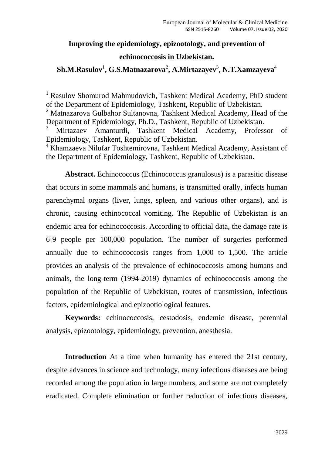#### **Improving the epidemiology, epizootology, and prevention of**

#### **echinococcosis in Uzbekistan.**

## $\boldsymbol{\mathrm{Sh.M.Rasulov^{1}, G.S.Matnazarova^{2}, A.Mirtazayev^{3}, N.T.Xamzayeva^{4}}}$

<sup>1</sup> Rasulov Shomurod Mahmudovich, Tashkent Medical Academy, PhD student of the Department of Epidemiology, Tashkent, Republic of Uzbekistan.

<sup>2</sup> Matnazarova Gulbahor Sultanovna, Tashkent Medical Academy, Head of the Department of Epidemiology, Ph.D., Tashkent, Republic of Uzbekistan.

<sup>3</sup> Mirtazaev Amanturdi, Tashkent Medical Academy, Professor of Epidemiology, Tashkent, Republic of Uzbekistan.

<sup>4</sup> Khamzaeva Nilufar Toshtemirovna, Tashkent Medical Academy, Assistant of the Department of Epidemiology, Tashkent, Republic of Uzbekistan.

**Abstract.** Echinococcus (Echinococcus granulosus) is a parasitic disease that occurs in some mammals and humans, is transmitted orally, infects human parenchymal organs (liver, lungs, spleen, and various other organs), and is chronic, causing echinococcal vomiting. The Republic of Uzbekistan is an endemic area for echinococcosis. According to official data, the damage rate is 6-9 people per 100,000 population. The number of surgeries performed annually due to echinococcosis ranges from 1,000 to 1,500. The article provides an analysis of the prevalence of echinococcosis among humans and animals, the long-term (1994-2019) dynamics of echinococcosis among the population of the Republic of Uzbekistan, routes of transmission, infectious factors, epidemiological and epizootiological features.

**Keywords:** echinococcosis, cestodosis, endemic disease, perennial analysis, epizootology, epidemiology, prevention, anesthesia.

**Introduction** At a time when humanity has entered the 21st century, despite advances in science and technology, many infectious diseases are being recorded among the population in large numbers, and some are not completely eradicated. Complete elimination or further reduction of infectious diseases,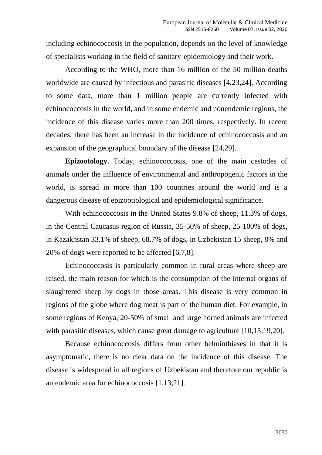including echinococcosis in the population, depends on the level of knowledge of specialists working in the field of sanitary-epidemiology and their work.

According to the WHO, more than 16 million of the 50 million deaths worldwide are caused by infectious and parasitic diseases [4,23,24]. According to some data, more than 1 million people are currently infected with echinococcosis in the world, and in some endemic and nonendemic regions, the incidence of this disease varies more than 200 times, respectively. In recent decades, there has been an increase in the incidence of echinococcosis and an expansion of the geographical boundary of the disease [24,29].

**Epizootology.** Today, echinococcosis, one of the main cestodes of animals under the influence of environmental and anthropogenic factors in the world, is spread in more than 100 countries around the world and is a dangerous disease of epizootiological and epidemiological significance.

With echinococcosis in the United States 9.8% of sheep, 11.3% of dogs, in the Central Caucasus region of Russia, 35-50% of sheep, 25-100% of dogs, in Kazakhstan 33.1% of sheep, 68.7% of dogs, in Uzbekistan 15 sheep, 8% and 20% of dogs were reported to be affected [6,7,8].

Echinococcosis is particularly common in rural areas where sheep are raised, the main reason for which is the consumption of the internal organs of slaughtered sheep by dogs in those areas. This disease is very common in regions of the globe where dog meat is part of the human diet. For example, in some regions of Kenya, 20-50% of small and large horned animals are infected with parasitic diseases, which cause great damage to agriculture [10,15,19,20].

Because echinococcosis differs from other helminthiases in that it is asymptomatic, there is no clear data on the incidence of this disease. The disease is widespread in all regions of Uzbekistan and therefore our republic is an endemic area for echinococcosis [1,13,21].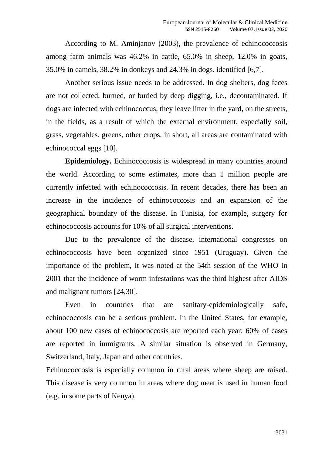According to M. Aminjanov (2003), the prevalence of echinococcosis among farm animals was 46.2% in cattle, 65.0% in sheep, 12.0% in goats, 35.0% in camels, 38.2% in donkeys and 24.3% in dogs. identified [6,7].

Another serious issue needs to be addressed. In dog shelters, dog feces are not collected, burned, or buried by deep digging, i.e., decontaminated. If dogs are infected with echinococcus, they leave litter in the yard, on the streets, in the fields, as a result of which the external environment, especially soil, grass, vegetables, greens, other crops, in short, all areas are contaminated with echinococcal eggs [10].

**Epidemiology.** Echinococcosis is widespread in many countries around the world. According to some estimates, more than 1 million people are currently infected with echinococcosis. In recent decades, there has been an increase in the incidence of echinococcosis and an expansion of the geographical boundary of the disease. In Tunisia, for example, surgery for echinococcosis accounts for 10% of all surgical interventions.

Due to the prevalence of the disease, international congresses on echinococcosis have been organized since 1951 (Uruguay). Given the importance of the problem, it was noted at the 54th session of the WHO in 2001 that the incidence of worm infestations was the third highest after AIDS and malignant tumors [24,30].

Even in countries that are sanitary-epidemiologically safe, echinococcosis can be a serious problem. In the United States, for example, about 100 new cases of echinococcosis are reported each year; 60% of cases are reported in immigrants. A similar situation is observed in Germany, Switzerland, Italy, Japan and other countries.

Echinococcosis is especially common in rural areas where sheep are raised. This disease is very common in areas where dog meat is used in human food (e.g. in some parts of Kenya).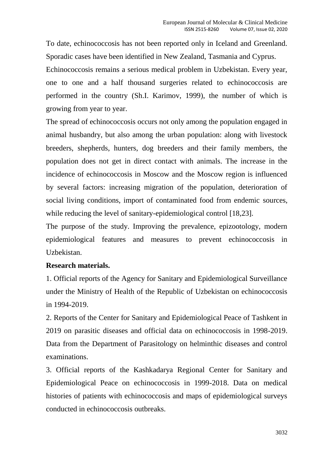To date, echinococcosis has not been reported only in Iceland and Greenland. Sporadic cases have been identified in New Zealand, Tasmania and Cyprus. Echinococcosis remains a serious medical problem in Uzbekistan. Every year, one to one and a half thousand surgeries related to echinococcosis are performed in the country (Sh.I. Karimov, 1999), the number of which is growing from year to year.

The spread of echinococcosis occurs not only among the population engaged in animal husbandry, but also among the urban population: along with livestock breeders, shepherds, hunters, dog breeders and their family members, the population does not get in direct contact with animals. The increase in the incidence of echinococcosis in Moscow and the Moscow region is influenced by several factors: increasing migration of the population, deterioration of social living conditions, import of contaminated food from endemic sources, while reducing the level of sanitary-epidemiological control [18,23].

The purpose of the study. Improving the prevalence, epizootology, modern epidemiological features and measures to prevent echinococcosis in Uzbekistan.

## **Research materials.**

1. Official reports of the Agency for Sanitary and Epidemiological Surveillance under the Ministry of Health of the Republic of Uzbekistan on echinococcosis in 1994-2019.

2. Reports of the Center for Sanitary and Epidemiological Peace of Tashkent in 2019 on parasitic diseases and official data on echinococcosis in 1998-2019. Data from the Department of Parasitology on helminthic diseases and control examinations.

3. Official reports of the Kashkadarya Regional Center for Sanitary and Epidemiological Peace on echinococcosis in 1999-2018. Data on medical histories of patients with echinococcosis and maps of epidemiological surveys conducted in echinococcosis outbreaks.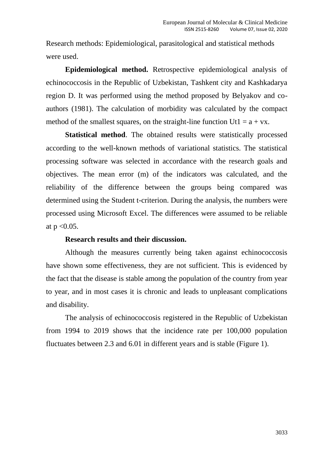Research methods: Epidemiological, parasitological and statistical methods were used.

**Epidemiological method.** Retrospective epidemiological analysis of echinococcosis in the Republic of Uzbekistan, Tashkent city and Kashkadarya region D. It was performed using the method proposed by Belyakov and coauthors (1981). The calculation of morbidity was calculated by the compact method of the smallest squares, on the straight-line function  $Ut1 = a + vx$ .

**Statistical method**. The obtained results were statistically processed according to the well-known methods of variational statistics. The statistical processing software was selected in accordance with the research goals and objectives. The mean error (m) of the indicators was calculated, and the reliability of the difference between the groups being compared was determined using the Student t-criterion. During the analysis, the numbers were processed using Microsoft Excel. The differences were assumed to be reliable at  $p < 0.05$ .

#### **Research results and their discussion.**

Although the measures currently being taken against echinococcosis have shown some effectiveness, they are not sufficient. This is evidenced by the fact that the disease is stable among the population of the country from year to year, and in most cases it is chronic and leads to unpleasant complications and disability.

The analysis of echinococcosis registered in the Republic of Uzbekistan from 1994 to 2019 shows that the incidence rate per 100,000 population fluctuates between 2.3 and 6.01 in different years and is stable (Figure 1).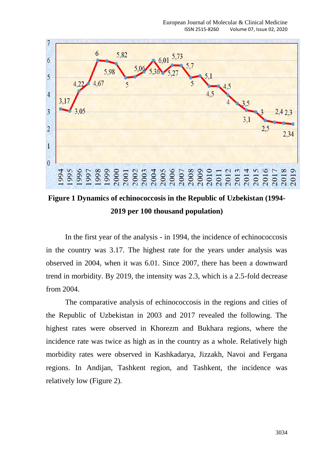

**Figure 1 Dynamics of echinococcosis in the Republic of Uzbekistan (1994- 2019 per 100 thousand population)**

In the first year of the analysis - in 1994, the incidence of echinococcosis in the country was 3.17. The highest rate for the years under analysis was observed in 2004, when it was 6.01. Since 2007, there has been a downward trend in morbidity. By 2019, the intensity was 2.3, which is a 2.5-fold decrease from 2004.

The comparative analysis of echinococcosis in the regions and cities of the Republic of Uzbekistan in 2003 and 2017 revealed the following. The highest rates were observed in Khorezm and Bukhara regions, where the incidence rate was twice as high as in the country as a whole. Relatively high morbidity rates were observed in Kashkadarya, Jizzakh, Navoi and Fergana regions. In Andijan, Tashkent region, and Tashkent, the incidence was relatively low (Figure 2).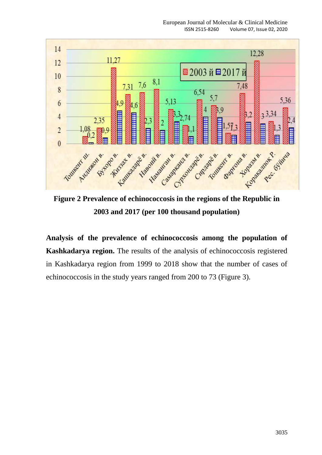

**Figure 2 Prevalence of echinococcosis in the regions of the Republic in 2003 and 2017 (per 100 thousand population)**

**Analysis of the prevalence of echinococcosis among the population of Kashkadarya region.** The results of the analysis of echinococcosis registered in Kashkadarya region from 1999 to 2018 show that the number of cases of echinococcosis in the study years ranged from 200 to 73 (Figure 3).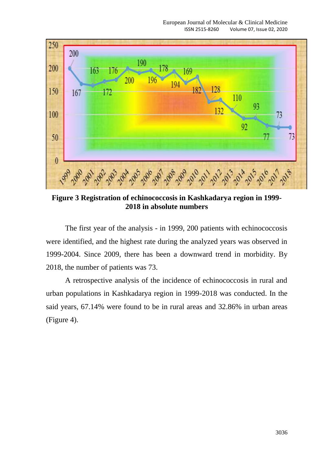

**Figure 3 Registration of echinococcosis in Kashkadarya region in 1999- 2018 in absolute numbers**

The first year of the analysis - in 1999, 200 patients with echinococcosis were identified, and the highest rate during the analyzed years was observed in 1999-2004. Since 2009, there has been a downward trend in morbidity. By 2018, the number of patients was 73.

A retrospective analysis of the incidence of echinococcosis in rural and urban populations in Kashkadarya region in 1999-2018 was conducted. In the said years, 67.14% were found to be in rural areas and 32.86% in urban areas (Figure 4).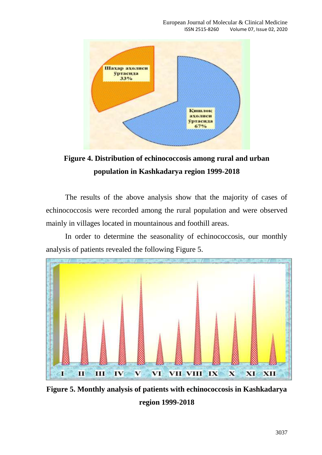

**Figure 4. Distribution of echinococcosis among rural and urban population in Kashkadarya region 1999-2018**

The results of the above analysis show that the majority of cases of echinococcosis were recorded among the rural population and were observed mainly in villages located in mountainous and foothill areas.

In order to determine the seasonality of echinococcosis, our monthly analysis of patients revealed the following Figure 5.



**Figure 5. Monthly analysis of patients with echinococcosis in Kashkadarya region 1999-2018**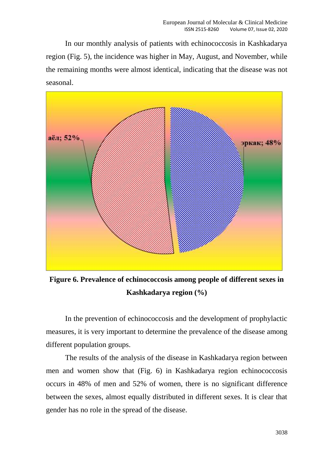In our monthly analysis of patients with echinococcosis in Kashkadarya region (Fig. 5), the incidence was higher in May, August, and November, while the remaining months were almost identical, indicating that the disease was not seasonal.



**Figure 6. Prevalence of echinococcosis among people of different sexes in Kashkadarya region (%)**

In the prevention of echinococcosis and the development of prophylactic measures, it is very important to determine the prevalence of the disease among different population groups.

The results of the analysis of the disease in Kashkadarya region between men and women show that (Fig. 6) in Kashkadarya region echinococcosis occurs in 48% of men and 52% of women, there is no significant difference between the sexes, almost equally distributed in different sexes. It is clear that gender has no role in the spread of the disease.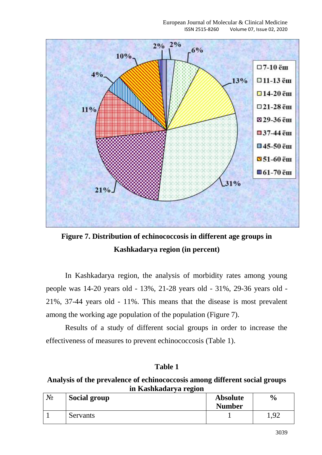

**Figure 7. Distribution of echinococcosis in different age groups in Kashkadarya region (in percent)**

In Kashkadarya region, the analysis of morbidity rates among young people was 14-20 years old - 13%, 21-28 years old - 31%, 29-36 years old - 21%, 37-44 years old - 11%. This means that the disease is most prevalent among the working age population of the population (Figure 7).

Results of a study of different social groups in order to increase the effectiveness of measures to prevent echinococcosis (Table 1).

## **Table 1**

#### **Analysis of the prevalence of echinococcosis among different social groups in Kashkadarya region**

| $N_2$ | <b>Social group</b> | <b>Absolute</b> | $\frac{1}{2}$ |
|-------|---------------------|-----------------|---------------|
|       |                     | <b>Number</b>   |               |
|       | Servants            |                 | 1,92          |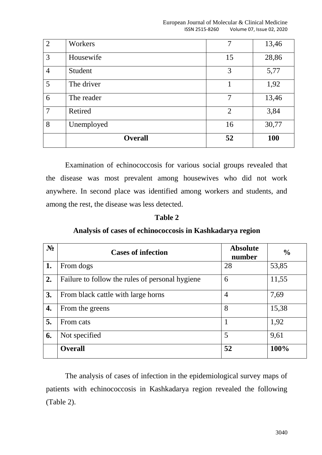| $\overline{4}$ | Student        | 3              | 5,77       |
|----------------|----------------|----------------|------------|
| 5              | The driver     |                | 1,92       |
| 6              | The reader     | 7              | 13,46      |
| $\overline{7}$ | Retired        | $\overline{2}$ | 3,84       |
| 8              | Unemployed     | 16             | 30,77      |
|                | <b>Overall</b> | 52             | <b>100</b> |

Examination of echinococcosis for various social groups revealed that the disease was most prevalent among housewives who did not work anywhere. In second place was identified among workers and students, and among the rest, the disease was less detected.

#### **Table 2**

### **Analysis of cases of echinococcosis in Kashkadarya region**

| $N_2$ | <b>Cases of infection</b>                       | <b>Absolute</b><br>number | $\frac{0}{0}$ |
|-------|-------------------------------------------------|---------------------------|---------------|
| 1.    | From dogs                                       | 28                        | 53,85         |
| 2.    | Failure to follow the rules of personal hygiene | 6                         | 11,55         |
| 3.    | From black cattle with large horns              | $\overline{4}$            | 7,69          |
| 4.    | From the greens                                 | 8                         | 15,38         |
| 5.    | From cats                                       | 1                         | 1,92          |
| 6.    | Not specified                                   | 5                         | 9,61          |
|       | <b>Overall</b>                                  | 52                        | 100%          |

The analysis of cases of infection in the epidemiological survey maps of patients with echinococcosis in Kashkadarya region revealed the following (Table 2).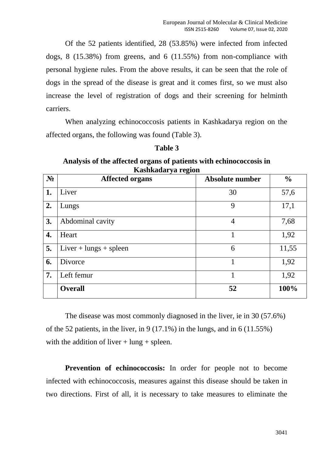Of the 52 patients identified, 28 (53.85%) were infected from infected dogs, 8 (15.38%) from greens, and 6 (11.55%) from non-compliance with personal hygiene rules. From the above results, it can be seen that the role of dogs in the spread of the disease is great and it comes first, so we must also increase the level of registration of dogs and their screening for helminth carriers.

When analyzing echinococcosis patients in Kashkadarya region on the affected organs, the following was found (Table 3).

| <b>Table</b> |  |
|--------------|--|
|--------------|--|

#### **Analysis of the affected organs of patients with echinococcosis in Kashkadarya region**

| $N_2$ | <b>Affected organs</b>   | <b>Absolute number</b> | $\frac{0}{0}$ |
|-------|--------------------------|------------------------|---------------|
| 1.    | Liver                    | 30                     | 57,6          |
| 2.    | Lungs                    | 9                      | 17,1          |
| 3.    | Abdominal cavity         | $\overline{4}$         | 7,68          |
| 4.    | Heart                    | 1                      | 1,92          |
| 5.    | $Liver + lungs + spleen$ | 6                      | 11,55         |
| 6.    | Divorce                  | 1                      | 1,92          |
| 7.    | Left femur               | 1                      | 1,92          |
|       | <b>Overall</b>           | 52                     | 100%          |

The disease was most commonly diagnosed in the liver, ie in 30 (57.6%) of the 52 patients, in the liver, in 9 (17.1%) in the lungs, and in 6 (11.55%) with the addition of liver  $+$  lung  $+$  spleen.

**Prevention of echinococcosis:** In order for people not to become infected with echinococcosis, measures against this disease should be taken in two directions. First of all, it is necessary to take measures to eliminate the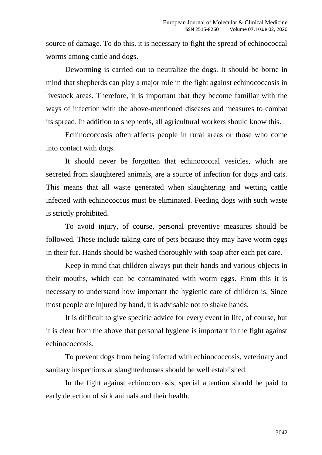source of damage. To do this, it is necessary to fight the spread of echinococcal worms among cattle and dogs.

Deworming is carried out to neutralize the dogs. It should be borne in mind that shepherds can play a major role in the fight against echinococcosis in livestock areas. Therefore, it is important that they become familiar with the ways of infection with the above-mentioned diseases and measures to combat its spread. In addition to shepherds, all agricultural workers should know this.

Echinococcosis often affects people in rural areas or those who come into contact with dogs.

It should never be forgotten that echinococcal vesicles, which are secreted from slaughtered animals, are a source of infection for dogs and cats. This means that all waste generated when slaughtering and wetting cattle infected with echinococcus must be eliminated. Feeding dogs with such waste is strictly prohibited.

To avoid injury, of course, personal preventive measures should be followed. These include taking care of pets because they may have worm eggs in their fur. Hands should be washed thoroughly with soap after each pet care.

Keep in mind that children always put their hands and various objects in their mouths, which can be contaminated with worm eggs. From this it is necessary to understand how important the hygienic care of children is. Since most people are injured by hand, it is advisable not to shake hands.

It is difficult to give specific advice for every event in life, of course, but it is clear from the above that personal hygiene is important in the fight against echinococcosis.

To prevent dogs from being infected with echinococcosis, veterinary and sanitary inspections at slaughterhouses should be well established.

In the fight against echinococcosis, special attention should be paid to early detection of sick animals and their health.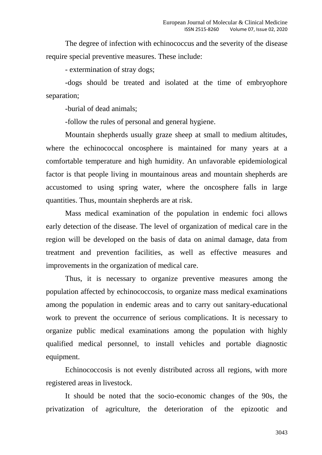The degree of infection with echinococcus and the severity of the disease require special preventive measures. These include:

- extermination of stray dogs;

-dogs should be treated and isolated at the time of embryophore separation;

-burial of dead animals;

-follow the rules of personal and general hygiene.

Mountain shepherds usually graze sheep at small to medium altitudes, where the echinococcal oncosphere is maintained for many years at a comfortable temperature and high humidity. An unfavorable epidemiological factor is that people living in mountainous areas and mountain shepherds are accustomed to using spring water, where the oncosphere falls in large quantities. Thus, mountain shepherds are at risk.

Mass medical examination of the population in endemic foci allows early detection of the disease. The level of organization of medical care in the region will be developed on the basis of data on animal damage, data from treatment and prevention facilities, as well as effective measures and improvements in the organization of medical care.

Thus, it is necessary to organize preventive measures among the population affected by echinococcosis, to organize mass medical examinations among the population in endemic areas and to carry out sanitary-educational work to prevent the occurrence of serious complications. It is necessary to organize public medical examinations among the population with highly qualified medical personnel, to install vehicles and portable diagnostic equipment.

Echinococcosis is not evenly distributed across all regions, with more registered areas in livestock.

It should be noted that the socio-economic changes of the 90s, the privatization of agriculture, the deterioration of the epizootic and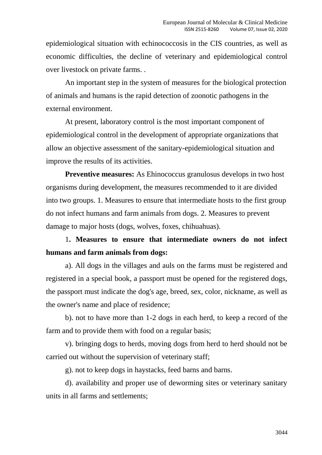epidemiological situation with echinococcosis in the CIS countries, as well as economic difficulties, the decline of veterinary and epidemiological control over livestock on private farms. .

An important step in the system of measures for the biological protection of animals and humans is the rapid detection of zoonotic pathogens in the external environment.

At present, laboratory control is the most important component of epidemiological control in the development of appropriate organizations that allow an objective assessment of the sanitary-epidemiological situation and improve the results of its activities.

**Preventive measures:** As Ehinococcus granulosus develops in two host organisms during development, the measures recommended to it are divided into two groups. 1. Measures to ensure that intermediate hosts to the first group do not infect humans and farm animals from dogs. 2. Measures to prevent damage to major hosts (dogs, wolves, foxes, chihuahuas).

1**. Measures to ensure that intermediate owners do not infect humans and farm animals from dogs:**

a). All dogs in the villages and auls on the farms must be registered and registered in a special book, a passport must be opened for the registered dogs, the passport must indicate the dog's age, breed, sex, color, nickname, as well as the owner's name and place of residence;

b). not to have more than 1-2 dogs in each herd, to keep a record of the farm and to provide them with food on a regular basis;

v). bringing dogs to herds, moving dogs from herd to herd should not be carried out without the supervision of veterinary staff;

g). not to keep dogs in haystacks, feed barns and barns.

d). availability and proper use of deworming sites or veterinary sanitary units in all farms and settlements;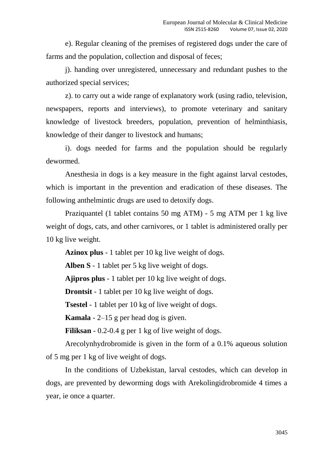e). Regular cleaning of the premises of registered dogs under the care of farms and the population, collection and disposal of feces;

j). handing over unregistered, unnecessary and redundant pushes to the authorized special services;

z). to carry out a wide range of explanatory work (using radio, television, newspapers, reports and interviews), to promote veterinary and sanitary knowledge of livestock breeders, population, prevention of helminthiasis, knowledge of their danger to livestock and humans;

i). dogs needed for farms and the population should be regularly dewormed.

Anesthesia in dogs is a key measure in the fight against larval cestodes, which is important in the prevention and eradication of these diseases. The following anthelmintic drugs are used to detoxify dogs.

Praziquantel (1 tablet contains 50 mg ATM) - 5 mg ATM per 1 kg live weight of dogs, cats, and other carnivores, or 1 tablet is administered orally per 10 kg live weight.

**Azinox plus** - 1 tablet per 10 kg live weight of dogs.

**Alben S** - 1 tablet per 5 kg live weight of dogs.

**Ajipros plus** - 1 tablet per 10 kg live weight of dogs.

**Drontsit** - 1 tablet per 10 kg live weight of dogs.

**Tsestel** - 1 tablet per 10 kg of live weight of dogs.

**Kamala** - 2–15 g per head dog is given.

**Filiksan** - 0.2-0.4 g per 1 kg of live weight of dogs.

Arecolynhydrobromide is given in the form of a 0.1% aqueous solution of 5 mg per 1 kg of live weight of dogs.

In the conditions of Uzbekistan, larval cestodes, which can develop in dogs, are prevented by deworming dogs with Arekolingidrobromide 4 times a year, ie once a quarter.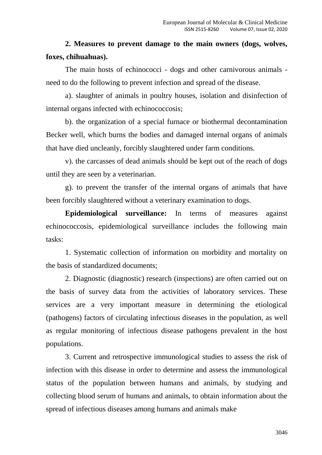# **2. Measures to prevent damage to the main owners (dogs, wolves, foxes, chihuahuas).**

The main hosts of echinococci - dogs and other carnivorous animals need to do the following to prevent infection and spread of the disease.

a). slaughter of animals in poultry houses, isolation and disinfection of internal organs infected with echinococcosis;

b). the organization of a special furnace or biothermal decontamination Becker well, which burns the bodies and damaged internal organs of animals that have died uncleanly, forcibly slaughtered under farm conditions.

v). the carcasses of dead animals should be kept out of the reach of dogs until they are seen by a veterinarian.

g). to prevent the transfer of the internal organs of animals that have been forcibly slaughtered without a veterinary examination to dogs.

**Epidemiological surveillance:** In terms of measures against echinococcosis, epidemiological surveillance includes the following main tasks:

1. Systematic collection of information on morbidity and mortality on the basis of standardized documents;

2. Diagnostic (diagnostic) research (inspections) are often carried out on the basis of survey data from the activities of laboratory services. These services are a very important measure in determining the etiological (pathogens) factors of circulating infectious diseases in the population, as well as regular monitoring of infectious disease pathogens prevalent in the host populations.

3. Current and retrospective immunological studies to assess the risk of infection with this disease in order to determine and assess the immunological status of the population between humans and animals, by studying and collecting blood serum of humans and animals, to obtain information about the spread of infectious diseases among humans and animals make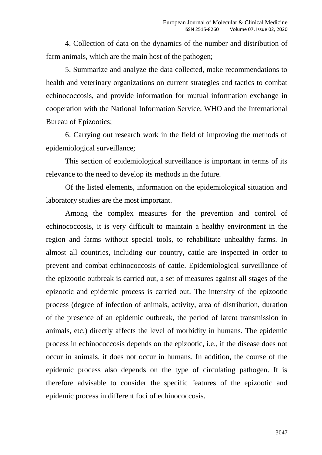4. Collection of data on the dynamics of the number and distribution of farm animals, which are the main host of the pathogen;

5. Summarize and analyze the data collected, make recommendations to health and veterinary organizations on current strategies and tactics to combat echinococcosis, and provide information for mutual information exchange in cooperation with the National Information Service, WHO and the International Bureau of Epizootics;

6. Carrying out research work in the field of improving the methods of epidemiological surveillance;

This section of epidemiological surveillance is important in terms of its relevance to the need to develop its methods in the future.

Of the listed elements, information on the epidemiological situation and laboratory studies are the most important.

Among the complex measures for the prevention and control of echinococcosis, it is very difficult to maintain a healthy environment in the region and farms without special tools, to rehabilitate unhealthy farms. In almost all countries, including our country, cattle are inspected in order to prevent and combat echinococcosis of cattle. Epidemiological surveillance of the epizootic outbreak is carried out, a set of measures against all stages of the epizootic and epidemic process is carried out. The intensity of the epizootic process (degree of infection of animals, activity, area of distribution, duration of the presence of an epidemic outbreak, the period of latent transmission in animals, etc.) directly affects the level of morbidity in humans. The epidemic process in echinococcosis depends on the epizootic, i.e., if the disease does not occur in animals, it does not occur in humans. In addition, the course of the epidemic process also depends on the type of circulating pathogen. It is therefore advisable to consider the specific features of the epizootic and epidemic process in different foci of echinococcosis.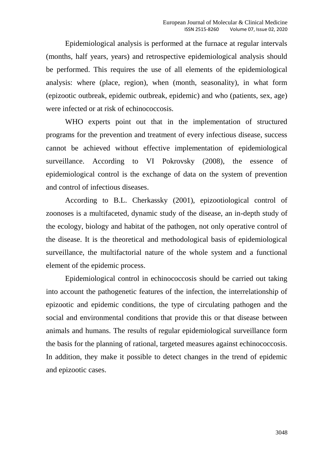Epidemiological analysis is performed at the furnace at regular intervals (months, half years, years) and retrospective epidemiological analysis should be performed. This requires the use of all elements of the epidemiological analysis: where (place, region), when (month, seasonality), in what form (epizootic outbreak, epidemic outbreak, epidemic) and who (patients, sex, age) were infected or at risk of echinococcosis.

WHO experts point out that in the implementation of structured programs for the prevention and treatment of every infectious disease, success cannot be achieved without effective implementation of epidemiological surveillance. According to VI Pokrovsky (2008), the essence of epidemiological control is the exchange of data on the system of prevention and control of infectious diseases.

According to B.L. Cherkassky (2001), epizootiological control of zoonoses is a multifaceted, dynamic study of the disease, an in-depth study of the ecology, biology and habitat of the pathogen, not only operative control of the disease. It is the theoretical and methodological basis of epidemiological surveillance, the multifactorial nature of the whole system and a functional element of the epidemic process.

Epidemiological control in echinococcosis should be carried out taking into account the pathogenetic features of the infection, the interrelationship of epizootic and epidemic conditions, the type of circulating pathogen and the social and environmental conditions that provide this or that disease between animals and humans. The results of regular epidemiological surveillance form the basis for the planning of rational, targeted measures against echinococcosis. In addition, they make it possible to detect changes in the trend of epidemic and epizootic cases.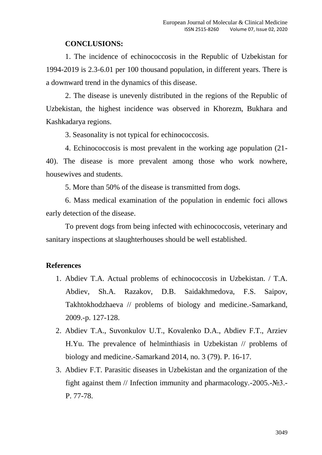#### **CONCLUSIONS:**

1. The incidence of echinococcosis in the Republic of Uzbekistan for 1994-2019 is 2.3-6.01 per 100 thousand population, in different years. There is a downward trend in the dynamics of this disease.

2. The disease is unevenly distributed in the regions of the Republic of Uzbekistan, the highest incidence was observed in Khorezm, Bukhara and Kashkadarya regions.

3. Seasonality is not typical for echinococcosis.

4. Echinococcosis is most prevalent in the working age population (21- 40). The disease is more prevalent among those who work nowhere, housewives and students.

5. More than 50% of the disease is transmitted from dogs.

6. Mass medical examination of the population in endemic foci allows early detection of the disease.

To prevent dogs from being infected with echinococcosis, veterinary and sanitary inspections at slaughterhouses should be well established.

#### **References**

- 1. Abdiev T.A. Actual problems of echinococcosis in Uzbekistan. / T.A. Abdiev, Sh.A. Razakov, D.B. Saidakhmedova, F.S. Saipov, Takhtokhodzhaeva // problems of biology and medicine.-Samarkand, 2009.-p. 127-128.
- 2. Abdiev T.A., Suvonkulov U.T., Kovalenko D.A., Abdiev F.T., Arziev H.Yu. The prevalence of helminthiasis in Uzbekistan // problems of biology and medicine.-Samarkand 2014, no. 3 (79). P. 16-17.
- 3. Abdiev F.T. Parasitic diseases in Uzbekistan and the organization of the fight against them // Infection immunity and pharmacology.-2005.-№3.- P. 77-78.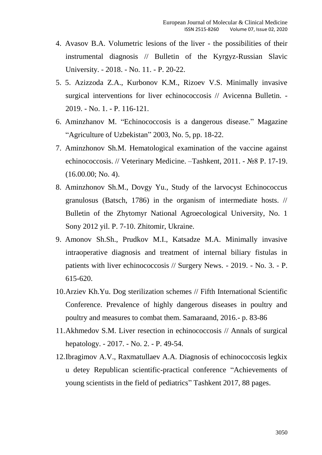- 4. Avasov B.A. Volumetric lesions of the liver the possibilities of their instrumental diagnosis // Bulletin of the Kyrgyz-Russian Slavic University. - 2018. - No. 11. - P. 20-22.
- 5. 5. Azizzoda Z.A., Kurbonov K.M., Rizoev V.S. Minimally invasive surgical interventions for liver echinococcosis // Avicenna Bulletin. - 2019. - No. 1. - P. 116-121.
- 6. Aminzhanov M. "Echinococcosis is a dangerous disease." Magazine "Agriculture of Uzbekistan" 2003, No. 5, pp. 18-22.
- 7. Aminzhonov Sh.M. Hematological examination of the vaccine against echinococcosis. // Veterinary Medicine. –Tashkent, 2011. - №8 P. 17-19. (16.00.00; No. 4).
- 8. Aminzhonov Sh.M., Dovgy Yu., Study of the larvocyst Echinococcus granulosus (Batsch, 1786) in the organism of intermediate hosts. // Bulletin of the Zhytomyr National Agroecological University, No. 1 Sony 2012 yil. P. 7-10. Zhitomir, Ukraine.
- 9. Amonov Sh.Sh., Prudkov M.I., Katsadze M.A. Minimally invasive intraoperative diagnosis and treatment of internal biliary fistulas in patients with liver echinococcosis // Surgery News. - 2019. - No. 3. - P. 615-620.
- 10.Arziev Kh.Yu. Dog sterilization schemes // Fifth International Scientific Conference. Prevalence of highly dangerous diseases in poultry and poultry and measures to combat them. Samaraand, 2016.- p. 83-86
- 11.Akhmedov S.M. Liver resection in echinococcosis // Annals of surgical hepatology. - 2017. - No. 2. - P. 49-54.
- 12.Ibragimov A.V., Raxmatullaev A.A. Diagnosis of echinococcosis legkix u detey Republican scientific-practical conference "Achievements of young scientists in the field of pediatrics" Tashkent 2017, 88 pages.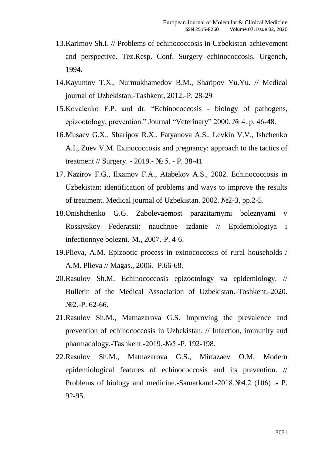- 13.Karimov Sh.I. // Problems of echinococcosis in Uzbekistan-achievement and perspective. Tez.Resp. Conf. Surgery echinococcosis. Urgench, 1994.
- 14.Kayumov T.X., Nurmukhamedov B.M., Sharipov Yu.Yu. // Medical journal of Uzbekistan.-Tashkent, 2012.-P. 28-29
- 15.Kovalenko F.P. and dr. "Echinococcosis biology of pathogens, epizootology, prevention." Journal "Veterinary" 2000. № 4. p. 46-48.
- 16.Musaev G.X., Sharipov R.X., Fatyanova A.S., Levkin V.V., Ishchenko A.I., Zuev V.M. Exinococcosis and pregnancy: approach to the tactics of treatment // Surgery. - 2019.- № 5. - P. 38-41
- 17. Nazirov F.G., Ilxamov F.A., Atabekov A.S., 2002. Echinococcosis in Uzbekistan: identification of problems and ways to improve the results of treatment. Medical journal of Uzbekistan. 2002. №2-3, pp.2-5.
- 18.Onishchenko G.G. Zabolevaemost parazitarnymi boleznyami v Rossiyskoy Federatsii: nauchnoe izdanie // Epidemiologiya i infectionnye bolezni.-M., 2007.-P. 4-6.
- 19.Plieva, A.M. Epizootic process in exinococcosis of rural households / A.M. Plieva // Magas., 2006. -P.66-68.
- 20.Rasulov Sh.M. Echinococcosis epizootology va epidemiology. // Bulletin of the Medical Association of Uzbekistan.-Toshkent.-2020. №2.-P. 62-66.
- 21.Rasulov Sh.M., Matnazarova G.S. Improving the prevalence and prevention of echinococcosis in Uzbekistan. // Infection, immunity and pharmacology.-Tashkent.-2019.-№5.-P. 192-198.
- 22.Rasulov Sh.M., Matnazarova G.S., Mirtazaev O.M. Modern epidemiological features of echinococcosis and its prevention. // Problems of biology and medicine.-Samarkand.-2018.№4,2 (106) .- P. 92-95.